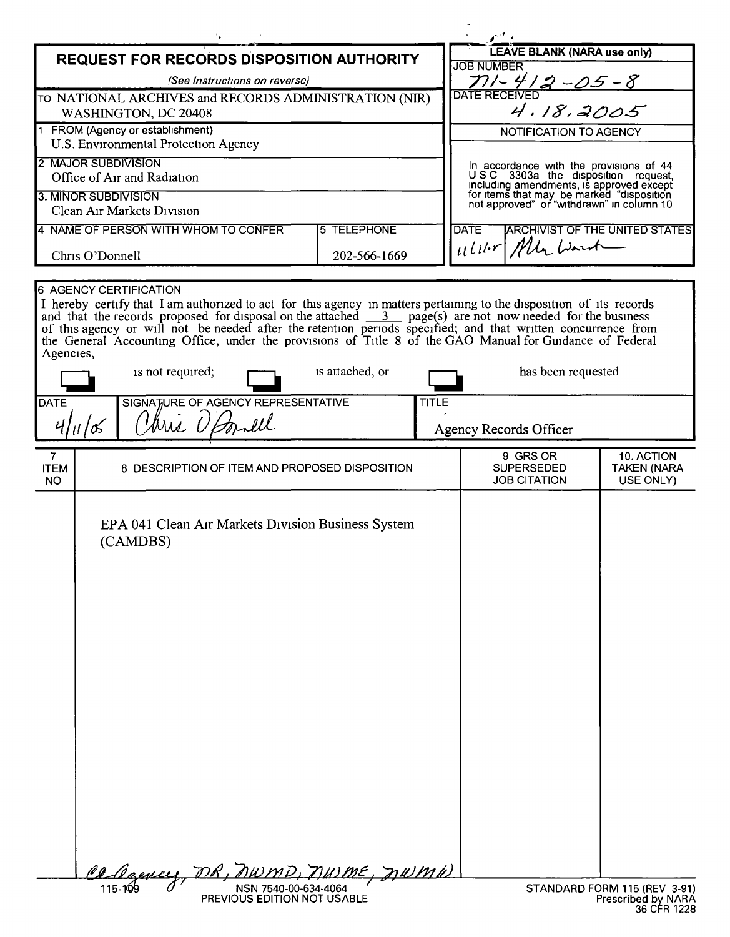| <b>REQUEST FOR RECORDS DISPOSITION AUTHORITY</b>                         |  |                                                                                                                                                                                                                                                                                                                                                                                                                                                                       |                     |                                                                          | <b>LEAVE BLANK (NARA use only)</b>                                                                                                                                                                                  |                                               |
|--------------------------------------------------------------------------|--|-----------------------------------------------------------------------------------------------------------------------------------------------------------------------------------------------------------------------------------------------------------------------------------------------------------------------------------------------------------------------------------------------------------------------------------------------------------------------|---------------------|--------------------------------------------------------------------------|---------------------------------------------------------------------------------------------------------------------------------------------------------------------------------------------------------------------|-----------------------------------------------|
| (See Instructions on reverse)                                            |  |                                                                                                                                                                                                                                                                                                                                                                                                                                                                       |                     |                                                                          | <b>JOB NUMBER</b>                                                                                                                                                                                                   |                                               |
| TO NATIONAL ARCHIVES and RECORDS ADMINISTRATION (NIR)                    |  |                                                                                                                                                                                                                                                                                                                                                                                                                                                                       |                     |                                                                          | $71 - 412 - 05 - 8$<br>TERECEIVED<br>4.18.2005<br><b>DATE RECEIVED</b>                                                                                                                                              |                                               |
| WASHINGTON, DC 20408                                                     |  |                                                                                                                                                                                                                                                                                                                                                                                                                                                                       |                     |                                                                          |                                                                                                                                                                                                                     |                                               |
| 1 FROM (Agency or establishment)<br>U.S. Environmental Protection Agency |  |                                                                                                                                                                                                                                                                                                                                                                                                                                                                       |                     |                                                                          | NOTIFICATION TO AGENCY                                                                                                                                                                                              |                                               |
| 2 MAJOR SUBDIVISION                                                      |  |                                                                                                                                                                                                                                                                                                                                                                                                                                                                       |                     |                                                                          |                                                                                                                                                                                                                     |                                               |
| Office of Air and Radiation                                              |  |                                                                                                                                                                                                                                                                                                                                                                                                                                                                       |                     |                                                                          | In accordance with the provisions of 44<br>USC 3303a the disposition request,<br>including amendments, is approved except<br>for items that may be marked "disposition<br>not approved" or "withdrawn" in column 10 |                                               |
| 3. MINOR SUBDIVISION                                                     |  |                                                                                                                                                                                                                                                                                                                                                                                                                                                                       |                     |                                                                          |                                                                                                                                                                                                                     |                                               |
| Clean Air Markets Division                                               |  |                                                                                                                                                                                                                                                                                                                                                                                                                                                                       |                     |                                                                          |                                                                                                                                                                                                                     |                                               |
|                                                                          |  | 4 NAME OF PERSON WITH WHOM TO CONFER                                                                                                                                                                                                                                                                                                                                                                                                                                  | <b>15 TELEPHONE</b> | <b>ARCHIVIST OF THE UNITED STATES</b><br><b>DATE</b><br>11/11- Mlr Warsh |                                                                                                                                                                                                                     |                                               |
| Chris O'Donnell                                                          |  |                                                                                                                                                                                                                                                                                                                                                                                                                                                                       | 202-566-1669        |                                                                          |                                                                                                                                                                                                                     |                                               |
|                                                                          |  | <b>6 AGENCY CERTIFICATION</b>                                                                                                                                                                                                                                                                                                                                                                                                                                         |                     |                                                                          |                                                                                                                                                                                                                     |                                               |
| Agencies,                                                                |  | I hereby certify that I am authorized to act for this agency in matters pertaining to the disposition of its records<br>and that the records proposed for disposal on the attached $\frac{3}{2}$ page(s) are not now needed for the business of this agency or will not be needed after the retention periods specified; and that written concurrence fro<br>the General Accounting Office, under the provisions of Title 8 of the GAO Manual for Guidance of Federal |                     |                                                                          |                                                                                                                                                                                                                     |                                               |
| is not required;<br>is attached, or                                      |  |                                                                                                                                                                                                                                                                                                                                                                                                                                                                       |                     |                                                                          | has been requested                                                                                                                                                                                                  |                                               |
| SIGNATURE OF AGENCY REPRESENTATIVE<br><b>DATE</b>                        |  |                                                                                                                                                                                                                                                                                                                                                                                                                                                                       |                     | <b>TITLE</b>                                                             |                                                                                                                                                                                                                     |                                               |
| Uris OBonell<br>11105                                                    |  |                                                                                                                                                                                                                                                                                                                                                                                                                                                                       |                     |                                                                          | Agency Records Officer                                                                                                                                                                                              |                                               |
|                                                                          |  |                                                                                                                                                                                                                                                                                                                                                                                                                                                                       |                     |                                                                          |                                                                                                                                                                                                                     |                                               |
| 7<br><b>ITEM</b><br><b>NO</b>                                            |  | 8 DESCRIPTION OF ITEM AND PROPOSED DISPOSITION                                                                                                                                                                                                                                                                                                                                                                                                                        |                     |                                                                          | 9 GRS OR<br><b>SUPERSEDED</b><br><b>JOB CITATION</b>                                                                                                                                                                | 10. ACTION<br><b>TAKEN (NARA</b><br>USE ONLY) |
|                                                                          |  | EPA 041 Clean Air Markets Division Business System<br>(CAMDBS)<br>Pe <u>Daeme</u>                                                                                                                                                                                                                                                                                                                                                                                     | nume, numu          |                                                                          |                                                                                                                                                                                                                     |                                               |
| NSN 7540-00-634-4064<br>PREVIOUS EDITION NOT USABLE                      |  |                                                                                                                                                                                                                                                                                                                                                                                                                                                                       |                     |                                                                          | STANDARD FORM 115 (REV 3-91)<br><b>Prescribed by NARA</b><br>36 CFR 1228                                                                                                                                            |                                               |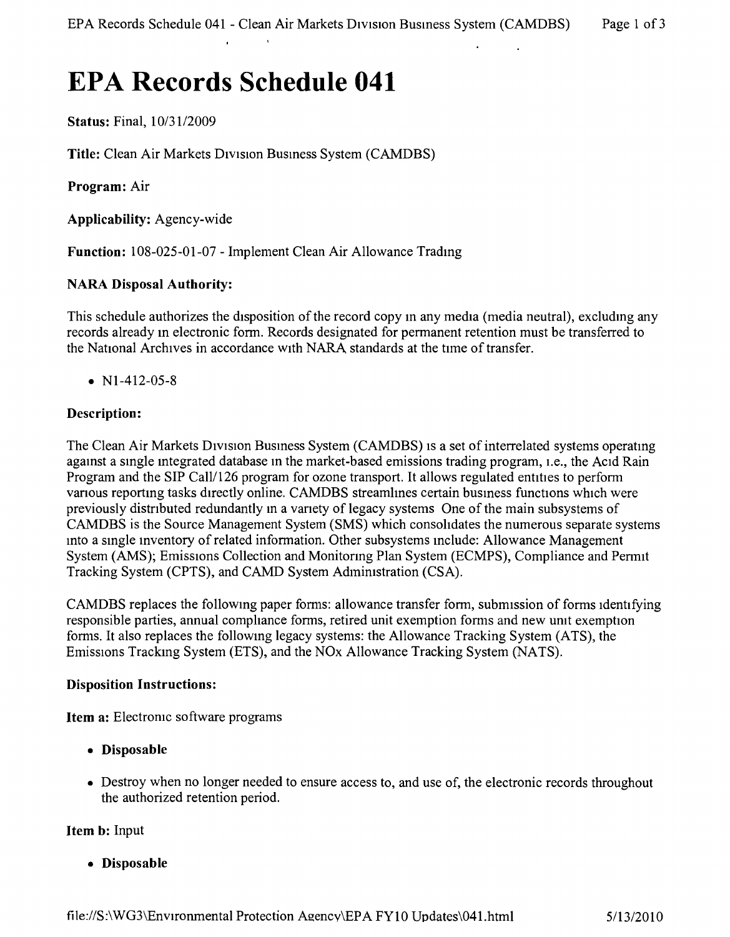# **EPA Records Schedule 041**

Status: Final, *10/31/2009*

Title: Clean Air Markets Drvision Busmess System (CAMDBS)

Program: Air

Applicability: Agency-wide

Function: 108-025-01-07 - Implement Clean Air Allowance Tradmg

# NARA Disposal Authority:

This schedule authorizes the disposition of the record copy m any media (media neutral), excludmg any records already m electronic form. Records designated for permanent retention must be transferred to the National Archives in accordance with NARA standards at the tune of transfer.

•  $N1-412-05-8$ 

# Description:

The Clean Air Markets Division Business System (CAMDBS) is a set of interrelated systems operating agamst a smgle mtegrated database m the market-based emissions trading program, i.e., the ACid Rain Program and the SIP Call/126 program for ozone transport. It allows regulated entities to perform various reporting tasks directly online. CAMDBS streamlines certain business functions which were previously distnbuted redundantly m a vanety of legacy systems One of the main subsystems of CAMDBS is the Source Management System (SMS) which consolidates the numerous separate systems mto a smgle mventory of related information. Other subsystems mclude: Allowance Management System (AMS); Emissions Collection and Monitoring Plan System (ECMPS), Compliance and Permit Tracking System (CPTS), and CAMD System Admimstration (CSA).

CAMDBS replaces the following paper forms: allowance transfer form, submission of forms identifying responsible parties, annual compliance forms, retired unit exemption forms and new umt exemption forms, It also replaces the followmg legacy systems: the Allowance Tracking System (ATS), the Emissions Trackmg System (ETS), and the NOx Allowance Tracking System (NATS).

## Disposition Instructions:

Item a: Electromc software programs

- • Disposable
- Destroy when no longer needed to ensure access to, and use of, the electronic records throughout the authorized retention period.

## Item b: Input

• Disposable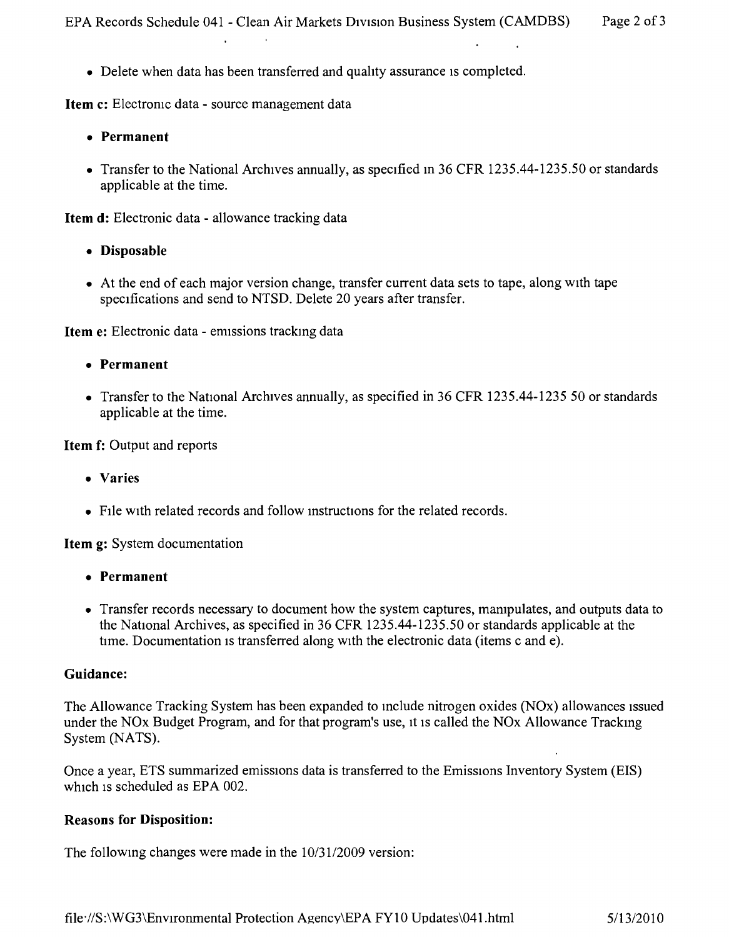• Delete when data has been transferred and quality assurance is completed.

Item c: Electronic data - source management data

**College** 

- • Permanent
- Transfer to the National Archives annually, as specified in 36 CFR 1235.44-1235.50 or standards applicable at the time.

Item d: Electronic data - allowance tracking data

- Disposable
- At the end of each major version change, transfer current data sets to tape, along with tape specifications and send to NTSD. Delete 20 years after transfer.

Item e: Electronic data - emissions tracking data

- • Permanent
- Transfer to the National Archives annually, as specified in 36 CFR 1235.44-1235 50 or standards applicable at the time.

Item f: Output and reports

- • Varies
- FIle with related records and follow mstructions for the related records.

Item g: System documentation

- • Permanent
- Transfer records necessary to document how the system captures, manipulates, and outputs data to the National Archives, as specified in 36 CFR 1235.44-1235.50 or standards applicable at the time. Documentation is transferred along with the electronic data (items c and  $\overline{e}$ ).

#### Guidance:

The Allowance Tracking System has been expanded to mclude nitrogen oxides (NOx) allowances Issued under the NOx Budget Program, and for that program's use, it is called the NOx Allowance Tracking System (NATS).

Once a year, ETS summarized emissions data is transferred to the Emissions Inventory System (EIS) which is scheduled as EPA 002.

#### Reasons for Disposition:

The followmg changes were made in the *10/3112009* version: